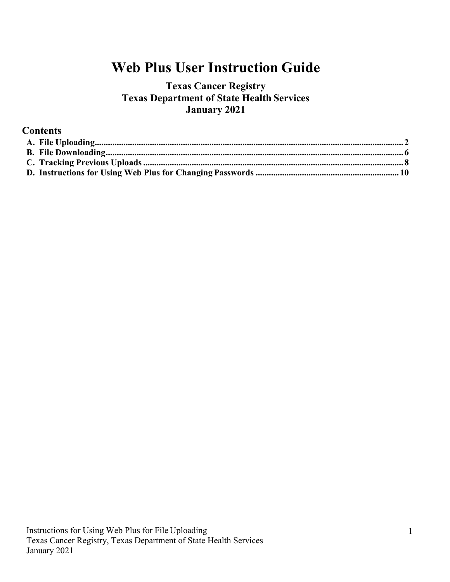# **Web Plus User Instruction Guide**

# **Texas Cancer Registry Texas Department of State Health Services January 2021**

## **Contents**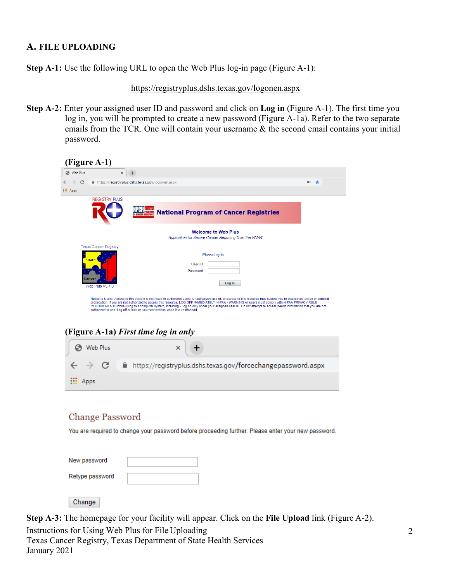### <span id="page-1-0"></span>**A. FILE UPLOADING**

Change

**Step A-1:** Use the following URL to open the Web Plus log-in page (Figure A-1):

<https://registryplus.dshs.texas.gov/logonen.aspx>

**Step A-2:** Enter your assigned user ID and password and click on **Log in** (Figure A-1). The first time you log in, you will be prompted to create a new password (Figure A-1a). Refer to the two separate emails from the TCR. One will contain your username & the second email contains your initial password.

| $\rightarrow$ C<br>https://registryplus.dshs.texas.gov/logonen.aspx<br><b>III</b> Apps<br><b>REGISTRY PLUS</b> | $\sim$ $\star$                                                                                                                                                                                                                                                                                                                     |
|----------------------------------------------------------------------------------------------------------------|------------------------------------------------------------------------------------------------------------------------------------------------------------------------------------------------------------------------------------------------------------------------------------------------------------------------------------|
|                                                                                                                |                                                                                                                                                                                                                                                                                                                                    |
|                                                                                                                |                                                                                                                                                                                                                                                                                                                                    |
|                                                                                                                |                                                                                                                                                                                                                                                                                                                                    |
|                                                                                                                | <b>National Program of Cancer Registries</b>                                                                                                                                                                                                                                                                                       |
|                                                                                                                | <b>Welcome to Web Plus</b><br>Application for Secure Cancer Reporting Over the WWW                                                                                                                                                                                                                                                 |
| <b>Texas Cancer Registry</b>                                                                                   |                                                                                                                                                                                                                                                                                                                                    |
|                                                                                                                | Please log in                                                                                                                                                                                                                                                                                                                      |
| <b>State</b>                                                                                                   | User ID                                                                                                                                                                                                                                                                                                                            |
|                                                                                                                | Password                                                                                                                                                                                                                                                                                                                           |
| Web Plus V3.7.0                                                                                                | Log in                                                                                                                                                                                                                                                                                                                             |
|                                                                                                                |                                                                                                                                                                                                                                                                                                                                    |
|                                                                                                                | Notice to Users: Access to this system is restricted to authorized users. Unauthorized use of, or access to this resource may subject you to disciplinary action or criminal<br>prosecution. If you are not authorized to access this resource, LOG OFF IMMEDIATELY. HIPAA - WARNING All users must comply with HIPAA PRIVACY RULE |
| authorized to use. Log off or lock up your workstation when it is unattended.                                  | REQUIREMENTS while using this computer system, including - Log on only under your assigned user ID. Do not attempt to access health information that you are not                                                                                                                                                                   |
|                                                                                                                |                                                                                                                                                                                                                                                                                                                                    |
|                                                                                                                |                                                                                                                                                                                                                                                                                                                                    |
| (Figure A-1a) First time log in only                                                                           |                                                                                                                                                                                                                                                                                                                                    |
|                                                                                                                |                                                                                                                                                                                                                                                                                                                                    |
| Web Plus                                                                                                       | ×                                                                                                                                                                                                                                                                                                                                  |
|                                                                                                                |                                                                                                                                                                                                                                                                                                                                    |
|                                                                                                                |                                                                                                                                                                                                                                                                                                                                    |
|                                                                                                                | https://registryplus.dshs.texas.gov/forcechangepassword.aspx                                                                                                                                                                                                                                                                       |
|                                                                                                                |                                                                                                                                                                                                                                                                                                                                    |
| Apps                                                                                                           |                                                                                                                                                                                                                                                                                                                                    |
|                                                                                                                |                                                                                                                                                                                                                                                                                                                                    |
|                                                                                                                |                                                                                                                                                                                                                                                                                                                                    |
|                                                                                                                |                                                                                                                                                                                                                                                                                                                                    |
|                                                                                                                |                                                                                                                                                                                                                                                                                                                                    |
|                                                                                                                | You are required to change your password before proceeding further. Please enter your new password.                                                                                                                                                                                                                                |
|                                                                                                                |                                                                                                                                                                                                                                                                                                                                    |
|                                                                                                                |                                                                                                                                                                                                                                                                                                                                    |
| Change Password<br>New password                                                                                |                                                                                                                                                                                                                                                                                                                                    |
|                                                                                                                |                                                                                                                                                                                                                                                                                                                                    |

Instructions for Using Web Plus for File Uploading Texas Cancer Registry, Texas Department of State Health Services January 2021 **Step A-3:** The homepage for your facility will appear. Click on the **File Upload** link (Figure A-2).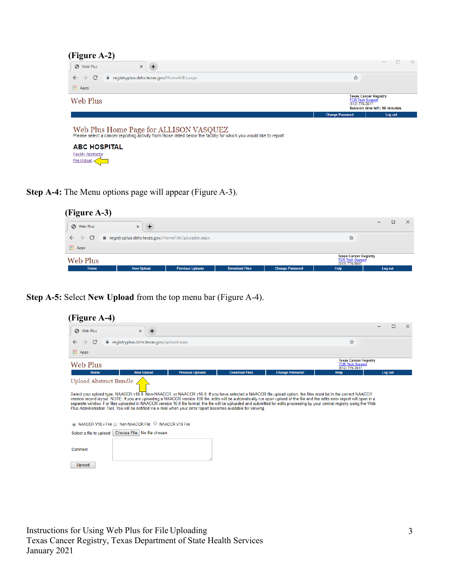| (Figure A-2)                                                                                                                                                 |                                                                                                            |                          |  |  |
|--------------------------------------------------------------------------------------------------------------------------------------------------------------|------------------------------------------------------------------------------------------------------------|--------------------------|--|--|
| $\ddot{}$<br>Web Plus<br>$\times$                                                                                                                            |                                                                                                            | $\overline{\phantom{a}}$ |  |  |
| C<br>e registryplus.dshs.texas.gov/HomeAllEx.aspx<br>$\leftarrow$<br>$\rightarrow$                                                                           | ☆                                                                                                          |                          |  |  |
| <b>III</b> Apps                                                                                                                                              |                                                                                                            |                          |  |  |
| Web Plus                                                                                                                                                     | <b>Texas Cancer Registry</b><br><b>TCR Tech Support</b><br>(512) 776-3617<br>Session time left: 99 minutes |                          |  |  |
|                                                                                                                                                              | <b>Change Password</b>                                                                                     | Log out                  |  |  |
| Web Plus Home Page for ALLISON VASQUEZ<br>Please select a cancer reporting activity from those listed below the facility for which you would like to report. |                                                                                                            |                          |  |  |
| <b>ABC HOSPITAL</b>                                                                                                                                          |                                                                                                            |                          |  |  |
| <b>Facility Abstractor</b>                                                                                                                                   |                                                                                                            |                          |  |  |
| <b>File Upload</b>                                                                                                                                           |                                                                                                            |                          |  |  |

**Step A-4:** The Menu options page will appear (Figure A-3).

| (Figure A-3)      |                                                     |                         |                       |                        |                                                                             |         |          |
|-------------------|-----------------------------------------------------|-------------------------|-----------------------|------------------------|-----------------------------------------------------------------------------|---------|----------|
| <b>S</b> Web Plus | $\times$<br>æ                                       |                         |                       |                        |                                                                             | —       | $\times$ |
| $\rightarrow$ C   | e registryplus.dshs.texas.gov/HomeFileUpLoader.aspx |                         |                       |                        | ਮੈਂ                                                                         |         |          |
| <b>III</b> Apps   |                                                     |                         |                       |                        |                                                                             |         |          |
| Web Plus          |                                                     |                         |                       |                        | <b>Texas Cancer Registry</b><br><b>TCR Tech Support</b><br>$(512) 776-3617$ |         |          |
| Home              | <b>New Upload</b>                                   | <b>Previous Uploads</b> | <b>Download Files</b> | <b>Change Password</b> | Help                                                                        | Log out |          |

**Step A-5:** Select **New Upload** from the top menu bar (Figure A-4).

| Web Plus                                                                                                                                                                                                                                                                                                                                                                                                                                                                         | $\ddot{}$<br>$\times$                     |                         |                       |                                                                                                                                                               |                                                                           | □<br>$\times$ |
|----------------------------------------------------------------------------------------------------------------------------------------------------------------------------------------------------------------------------------------------------------------------------------------------------------------------------------------------------------------------------------------------------------------------------------------------------------------------------------|-------------------------------------------|-------------------------|-----------------------|---------------------------------------------------------------------------------------------------------------------------------------------------------------|---------------------------------------------------------------------------|---------------|
| C<br>$\rightarrow$                                                                                                                                                                                                                                                                                                                                                                                                                                                               | e registryplus.dshs.texas.gov/upload.aspx |                         |                       |                                                                                                                                                               | ☆                                                                         |               |
| <b>III</b> Apps                                                                                                                                                                                                                                                                                                                                                                                                                                                                  |                                           |                         |                       |                                                                                                                                                               |                                                                           |               |
| Web Plus                                                                                                                                                                                                                                                                                                                                                                                                                                                                         |                                           |                         |                       |                                                                                                                                                               | <b>Texas Cancer Registry</b><br><b>TCR Tech Support</b><br>(512) 776-3617 |               |
| Home                                                                                                                                                                                                                                                                                                                                                                                                                                                                             | <b>New Upload</b>                         | <b>Previous Uploads</b> | <b>Download Files</b> | <b>Change Password</b>                                                                                                                                        | <b>Help</b>                                                               | Log out       |
|                                                                                                                                                                                                                                                                                                                                                                                                                                                                                  |                                           |                         |                       |                                                                                                                                                               |                                                                           |               |
| version record layout. NOTE: If you are uploading a NAACCR version 180 file, edits will be automatically run upon upload of the file and the edits error report will open in a<br>separate window. For files uploaded in NAACCR version 16.0 file format, the file will be uploaded and submitted for edits processing by your central registry using the Web<br>Plus Administration Tool. You will be notified via e-mail when your error report becomes available for viewing. |                                           |                         |                       | Select your upload type, NAACCR v18.0, Non-NAACCR, or NAACCR v16.0. If you have selected a NAACCR file upload option, the files must be in the correct NAACCR |                                                                           |               |
| ◎ NAACCR V18.x File ● Non-NAACCR File ● NAACCR V16 File                                                                                                                                                                                                                                                                                                                                                                                                                          |                                           |                         |                       |                                                                                                                                                               |                                                                           |               |
| Select a file to upload: Choose File No file chosen                                                                                                                                                                                                                                                                                                                                                                                                                              |                                           |                         |                       |                                                                                                                                                               |                                                                           |               |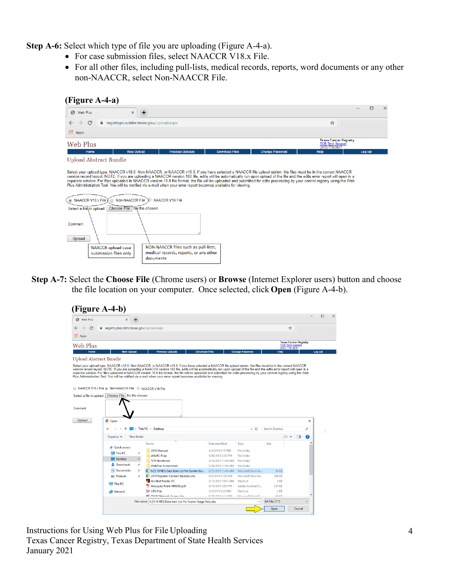**Step A-6:** Select which type of file you are uploading (Figure A-4-a).

- For case submission files, select NAACCR V18.x File.
- For all other files, including pull-lists, medical records, reports, word documents or any other non-NAACCR, select Non-NAACCR File.

| (Figure A-4-a)                                     |                                                                                                                                                                                                                                                                                                                                                                                                                                                                                                                                                                                                                                                                                                       |                       |                        |                                                                           |                    |
|----------------------------------------------------|-------------------------------------------------------------------------------------------------------------------------------------------------------------------------------------------------------------------------------------------------------------------------------------------------------------------------------------------------------------------------------------------------------------------------------------------------------------------------------------------------------------------------------------------------------------------------------------------------------------------------------------------------------------------------------------------------------|-----------------------|------------------------|---------------------------------------------------------------------------|--------------------|
| C Web Plus                                         | $\ddot{}$<br>$\times$                                                                                                                                                                                                                                                                                                                                                                                                                                                                                                                                                                                                                                                                                 |                       |                        |                                                                           | $\times$<br>$\Box$ |
| C<br>$\rightarrow$                                 | e registryplus.dshs.texas.gov/upload.aspx                                                                                                                                                                                                                                                                                                                                                                                                                                                                                                                                                                                                                                                             |                       |                        | ☆                                                                         |                    |
| <b>III</b> Apps                                    |                                                                                                                                                                                                                                                                                                                                                                                                                                                                                                                                                                                                                                                                                                       |                       |                        |                                                                           |                    |
| Web Plus                                           |                                                                                                                                                                                                                                                                                                                                                                                                                                                                                                                                                                                                                                                                                                       |                       |                        | <b>Texas Cancer Registry</b><br><b>TCR Tech Support</b><br>(512) 776-3617 |                    |
| Home                                               | <b>New Upload</b><br><b>Previous Uploads</b>                                                                                                                                                                                                                                                                                                                                                                                                                                                                                                                                                                                                                                                          | <b>Download Files</b> | <b>Change Password</b> | <b>Help</b>                                                               | Log out            |
| NAACCR V18.x File                                  | Select your upload type, NAACCR v18.0, Non-NAACCR, or NAACCR v16.0. If you have selected a NAACCR file upload option, the files must be in the correct NAACCR<br>version record layout. NOTE: If you are uploading a NAACCR version 180 file, edits will be automatically run upon upload of the file and the edits error report will open in a<br>separate window. For files uploaded in NAACCR version 16.0 file format, the file will be uploaded and submitted for edits processing by your central registry using the Web<br>Plus Administration Tool. You will be notified via e-mail when your error report becomes available for viewing.<br><b>Non-NAACCR File</b><br><b>NAACCR V16 File</b> |                       |                        |                                                                           |                    |
| Select a file to upload:                           | Choose File No file chosen                                                                                                                                                                                                                                                                                                                                                                                                                                                                                                                                                                                                                                                                            |                       |                        |                                                                           |                    |
| Comment<br>Upload                                  |                                                                                                                                                                                                                                                                                                                                                                                                                                                                                                                                                                                                                                                                                                       |                       |                        |                                                                           |                    |
| <b>NAACCR</b> upload case<br>submission files only | NON-NAACCR files such as pull-lists,<br>medical records, reports, or any other                                                                                                                                                                                                                                                                                                                                                                                                                                                                                                                                                                                                                        |                       |                        |                                                                           |                    |
|                                                    | documents                                                                                                                                                                                                                                                                                                                                                                                                                                                                                                                                                                                                                                                                                             |                       |                        |                                                                           |                    |

**Step A-7:** Select the **Choose File** (Chrome users) or **Browse** (Internet Explorer users) button and choose the file location on your computer. Once selected, click **Open** (Figure A-4-b).

| <b>S</b> Web Plus                                       | $\times$                                  | $\div$     |                                                                                                                                                                                                                                                                                                |                    |                        |                |                                           |   | □       |
|---------------------------------------------------------|-------------------------------------------|------------|------------------------------------------------------------------------------------------------------------------------------------------------------------------------------------------------------------------------------------------------------------------------------------------------|--------------------|------------------------|----------------|-------------------------------------------|---|---------|
| C                                                       | e registryplus.dshs.texas.gov/upload.aspx |            |                                                                                                                                                                                                                                                                                                |                    |                        |                | ☆                                         |   |         |
| <b>III</b> Apps                                         |                                           |            |                                                                                                                                                                                                                                                                                                |                    |                        |                |                                           |   |         |
|                                                         |                                           |            |                                                                                                                                                                                                                                                                                                |                    |                        |                | <b>Texas Cancer Registry</b>              |   |         |
| <b>Web Plus</b>                                         |                                           |            |                                                                                                                                                                                                                                                                                                |                    |                        |                | <b>TCR Tech Support</b><br>(512) 776-3617 |   |         |
| Home                                                    | <b>New Upload</b>                         |            | <b>Previous Uploads</b><br><b>Download Files</b>                                                                                                                                                                                                                                               |                    | <b>Change Password</b> | <b>Help</b>    |                                           |   | Log out |
| <b>Upload Abstract Bundle</b>                           |                                           |            |                                                                                                                                                                                                                                                                                                |                    |                        |                |                                           |   |         |
| A NAACCR V18.x File & Non-NAACCR File A NAACCR V16 File |                                           |            | separate window. For files uploaded in NAACCR version 16.0 file format, the file will be uploaded and submitted for edits processing by your central registry using the Web<br>Plus Administration Tool. You will be notified via e-mail when your error report becomes available for viewing. |                    |                        |                |                                           |   |         |
|                                                         |                                           |            |                                                                                                                                                                                                                                                                                                |                    |                        |                |                                           |   |         |
| Select a file to upload:                                | Choose File   No file chosen              |            |                                                                                                                                                                                                                                                                                                |                    |                        |                |                                           |   |         |
|                                                         |                                           |            |                                                                                                                                                                                                                                                                                                |                    |                        |                |                                           |   |         |
|                                                         |                                           |            |                                                                                                                                                                                                                                                                                                |                    |                        |                |                                           |   |         |
| <b>Upload</b>                                           | <b>O</b> Open                             |            |                                                                                                                                                                                                                                                                                                |                    |                        |                |                                           | × |         |
|                                                         |                                           |            | > This PC > Desktop                                                                                                                                                                                                                                                                            |                    | $\vee$ 0               | Search Desktop |                                           | ۹ |         |
|                                                         | Organize -                                | New folder |                                                                                                                                                                                                                                                                                                |                    |                        |                | 胆・・<br>$\blacksquare$                     | Q |         |
|                                                         |                                           |            | Name                                                                                                                                                                                                                                                                                           | Date modified      | Type                   | Size           |                                           |   |         |
|                                                         | <b>Duick access</b>                       |            | 2018 Manuals                                                                                                                                                                                                                                                                                   | 4/2/2019 3:15 PM   | <b>File folder</b>     |                |                                           |   |         |
|                                                         | <b>This PC</b>                            | À          | eMaRC Prep                                                                                                                                                                                                                                                                                     | 4/26/2019 2:32 PM  | File folder            |                |                                           |   |         |
|                                                         | <b>Desktop</b>                            |            | <b>TCR Handbook</b>                                                                                                                                                                                                                                                                            | 3/19/2019 11:58 AM | <b>File folder</b>     |                |                                           |   |         |
|                                                         | <b>Downloads</b>                          | À          | <b>WebPlus Screenshots</b>                                                                                                                                                                                                                                                                     | 5/29/2019 11:10 AM | <b>File folder</b>     |                |                                           |   |         |
|                                                         | Documents                                 | À          | 6.25.19 REQ Data Item List For Summ Sta                                                                                                                                                                                                                                                        | 6/25/2019 11:44 AM | Microsoft Excel W      | 34 KB          |                                           |   |         |
|                                                         | $=$ Pictures                              | ÷          | 图 2019 Reporter Contact Updates.xlsx                                                                                                                                                                                                                                                           | 9/3/2019 11:33 AM  | Microsoft Excel W      | 260 KB         |                                           |   |         |
|                                                         |                                           |            | <b>Acrobat Reader DC</b>                                                                                                                                                                                                                                                                       | 3/12/2019 10:31 AM | Shortcut               | 3 KB           |                                           |   |         |
|                                                         | $\Box$ This PC                            |            | AVasquez-Form HR0302.pdf                                                                                                                                                                                                                                                                       | 8/19/2019 2:05 PM  | Adobe Acrobat D        | 255 KB         |                                           |   |         |
|                                                         | Network                                   |            | <b>CO</b> CRS Plus                                                                                                                                                                                                                                                                             | 7/2/2019 3:23 PM   | Shortcut               | $2$ KB         |                                           |   |         |
| Comment                                                 |                                           |            | <b>ME DSHS National Access doc</b>                                                                                                                                                                                                                                                             | 8/28/2010 3-13 DM  | Microcoft Word Q       | 66 KR          |                                           |   |         |

Instructions for Using Web Plus for File Uploading Texas Cancer Registry, Texas Department of State Health Services January 2021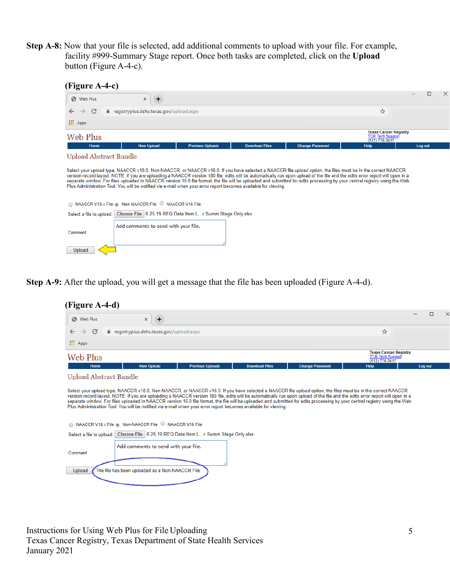**Step A-8:** Now that your file is selected, add additional comments to upload with your file. For example, facility #999-Summary Stage report. Once both tasks are completed, click on the **Upload**  button (Figure A-4-c).

| (Figure A-4-c)                                                                                                                                                                                                                                                                                                                                                                                                                                                                                                                                                                                                                                    |                                           |                         |                       |                        |                                                                           |         |
|---------------------------------------------------------------------------------------------------------------------------------------------------------------------------------------------------------------------------------------------------------------------------------------------------------------------------------------------------------------------------------------------------------------------------------------------------------------------------------------------------------------------------------------------------------------------------------------------------------------------------------------------------|-------------------------------------------|-------------------------|-----------------------|------------------------|---------------------------------------------------------------------------|---------|
| S Web Plus                                                                                                                                                                                                                                                                                                                                                                                                                                                                                                                                                                                                                                        | $\ddot{}$<br>×                            |                         |                       |                        |                                                                           | ×<br>П  |
| C<br>$\rightarrow$                                                                                                                                                                                                                                                                                                                                                                                                                                                                                                                                                                                                                                | e registryplus.dshs.texas.gov/upload.aspx |                         |                       |                        | ☆                                                                         |         |
| <b>H</b> Apps                                                                                                                                                                                                                                                                                                                                                                                                                                                                                                                                                                                                                                     |                                           |                         |                       |                        |                                                                           |         |
| Web Plus                                                                                                                                                                                                                                                                                                                                                                                                                                                                                                                                                                                                                                          |                                           |                         |                       |                        | <b>Texas Cancer Registry</b><br><b>TCR Tech Support</b><br>(512) 776-3617 |         |
| Home                                                                                                                                                                                                                                                                                                                                                                                                                                                                                                                                                                                                                                              | <b>New Upload</b>                         | <b>Previous Uploads</b> | <b>Download Files</b> | <b>Change Password</b> | Help                                                                      | Log out |
| Select your upload type, NAACCR v18.0, Non-NAACCR, or NAACCR v16.0. If you have selected a NAACCR file upload option, the files must be in the correct NAACCR<br>version record layout. NOTE: If you are uploading a NAACCR version 180 file, edits will be automatically run upon upload of the file and the edits error report will open in a<br>separate window. For files uploaded in NAACCR version 16.0 file format, the file will be uploaded and submitted for edits processing by your central registry using the Web<br>Plus Administration Tool. You will be notified via e-mail when your error report becomes available for viewing. |                                           |                         |                       |                        |                                                                           |         |
| ◯ NAACCR V18.x File ⓒ Non-NAACCR File ◯ NAACCR V16 File                                                                                                                                                                                                                                                                                                                                                                                                                                                                                                                                                                                           |                                           |                         |                       |                        |                                                                           |         |
| Select a file to upload: Choose File 6.25.19 REQ Data Item L r Summ Stage Only.xlsx                                                                                                                                                                                                                                                                                                                                                                                                                                                                                                                                                               |                                           |                         |                       |                        |                                                                           |         |
| Comment<br>Upload                                                                                                                                                                                                                                                                                                                                                                                                                                                                                                                                                                                                                                 | Add comments to send with your file.      |                         |                       |                        |                                                                           |         |

**Step A-9:** After the upload, you will get a message that the file has been uploaded (Figure A-4-d).

|                                                                                                                                                                                                                                                                                                                                                                                                                                                                                                                                             |                        |                                                                           | ×<br>п  |
|---------------------------------------------------------------------------------------------------------------------------------------------------------------------------------------------------------------------------------------------------------------------------------------------------------------------------------------------------------------------------------------------------------------------------------------------------------------------------------------------------------------------------------------------|------------------------|---------------------------------------------------------------------------|---------|
| S Web Plus<br>$\times$<br>$\ddot{}$                                                                                                                                                                                                                                                                                                                                                                                                                                                                                                         |                        |                                                                           |         |
| C<br>e registryplus.dshs.texas.gov/upload.aspx<br>$\rightarrow$                                                                                                                                                                                                                                                                                                                                                                                                                                                                             |                        | ☆                                                                         |         |
| <b>III</b> Apps                                                                                                                                                                                                                                                                                                                                                                                                                                                                                                                             |                        |                                                                           |         |
| <b>Web Plus</b>                                                                                                                                                                                                                                                                                                                                                                                                                                                                                                                             |                        | <b>Texas Cancer Registry</b><br><b>TCR Tech Support</b><br>(512) 776-3617 |         |
| <b>New Upload</b><br><b>Previous Uploads</b><br><b>Download Files</b><br>Home                                                                                                                                                                                                                                                                                                                                                                                                                                                               | <b>Change Password</b> | <b>Help</b>                                                               | Log out |
| Upload Abstract Bundle                                                                                                                                                                                                                                                                                                                                                                                                                                                                                                                      |                        |                                                                           |         |
| version record layout. NOTE: If you are uploading a NAACCR version 180 file, edits will be automatically run upon upload of the file and the edits error report will open in a<br>separate window. For files uploaded in NAACCR version 16.0 file format, the file will be uploaded and submitted for edits processing by your central registry using the Web<br>Plus Administration Tool. You will be notified via e-mail when your error report becomes available for viewing.<br>◯ NAACCR V18.x File ⓒ Non-NAACCR File Q NAACCR V16 File |                        |                                                                           |         |
| Select a file to upload: Choose File 6.25.19 REQ Data Item L r Summ Stage Only.xlsx                                                                                                                                                                                                                                                                                                                                                                                                                                                         |                        |                                                                           |         |
| Add comments to send with your file.<br>Comment                                                                                                                                                                                                                                                                                                                                                                                                                                                                                             |                        |                                                                           |         |
|                                                                                                                                                                                                                                                                                                                                                                                                                                                                                                                                             |                        |                                                                           |         |

Instructions for Using Web Plus for File Uploading Texas Cancer Registry, Texas Department of State Health Services January 2021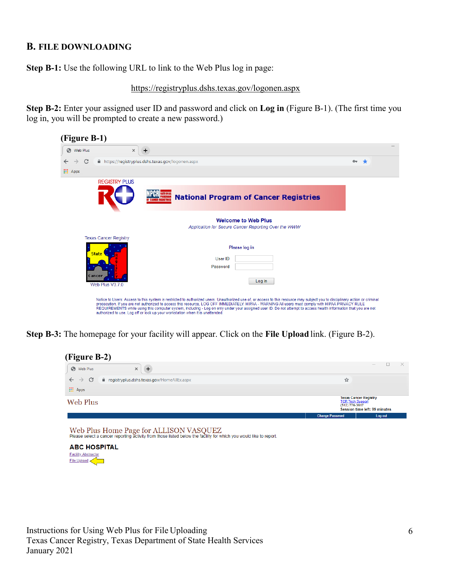#### <span id="page-5-0"></span>**B. FILE DOWNLOADING**

**Step B-1:** Use the following URL to link to the Web Plus log in page:

<https://registryplus.dshs.texas.gov/logonen.aspx>

**Step B-2:** Enter your assigned user ID and password and click on **Log in** (Figure B-1). (The first time you log in, you will be prompted to create a new password.)



**Step B-3:** The homepage for your facility will appear. Click on the **File Upload** link. (Figure B-2).

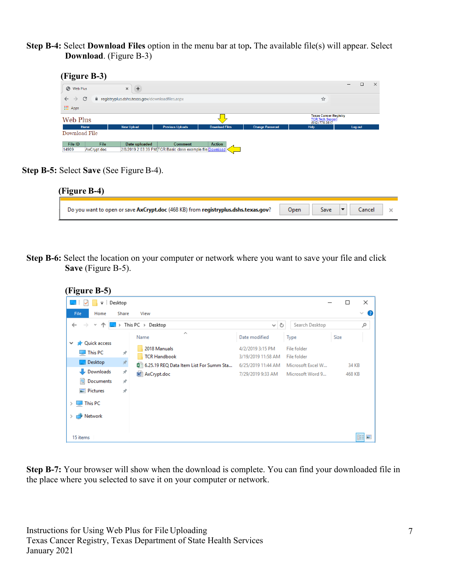**Step B-4:** Select **Download Files** option in the menu bar at top**.** The available file(s) will appear. Select **Download**. (Figure B-3)



| Web Plus                        |             | $\times$<br>$+$                                  |                                                           |                       |                        |                                                                           | $\Box$<br>$\times$<br>- |
|---------------------------------|-------------|--------------------------------------------------|-----------------------------------------------------------|-----------------------|------------------------|---------------------------------------------------------------------------|-------------------------|
| $\rightarrow$ C<br>$\leftarrow$ |             | e registryplus.dshs.texas.gov/downloadfiles.aspx |                                                           |                       |                        | ☆                                                                         |                         |
| <b>III</b> Apps                 |             |                                                  |                                                           |                       |                        |                                                                           |                         |
| Web Plus                        |             |                                                  |                                                           | -                     |                        | <b>Texas Cancer Registry</b><br><b>TCR Tech Support</b><br>(512) 776-3617 |                         |
|                                 | Home        | <b>New Upload</b>                                | <b>Previous Uploads</b>                                   | <b>Download Files</b> | <b>Change Password</b> | Help                                                                      | Log out                 |
| Download File                   |             |                                                  |                                                           |                       |                        |                                                                           |                         |
| File ID                         | File        | Date uploaded                                    | <b>Comment</b>                                            | <b>Action</b>         |                        |                                                                           |                         |
| 14909                           | AxCrypt.doc |                                                  | 2/8/2019 2:03:39 PM TCR Basic class example file Download |                       |                        |                                                                           |                         |

**Step B-5:** Select **Save** (See Figure B-4).

| (Figure B-4)                                                                       |      |      |        |  |
|------------------------------------------------------------------------------------|------|------|--------|--|
| Do you want to open or save AxCrypt.doc (468 KB) from registryplus.dshs.texas.gov? | Open | Save | Cancel |  |

**Step B-6:** Select the location on your computer or network where you want to save your file and click **Save** (Figure B-5).

| (Figure B-5)                                                                     |                                                          |                                         |                                                 |        |                   |
|----------------------------------------------------------------------------------|----------------------------------------------------------|-----------------------------------------|-------------------------------------------------|--------|-------------------|
| $\overline{\phantom{a}}$ Desktop                                                 |                                                          |                                         |                                                 | $\Box$ | $\times$          |
| File<br>Share<br>Home                                                            | View                                                     |                                         |                                                 |        | Ø<br>$\checkmark$ |
| $\leftarrow$<br>不<br>$\rightarrow$<br>$\checkmark$                               | This $PC \rightarrow Desktop$                            | Ō<br>$\checkmark$                       | Search Desktop                                  |        | مر                |
| <b>A</b> Quick access<br>$\checkmark$                                            | ∼<br>Name                                                | Date modified                           | Type                                            | Size   |                   |
| $\Box$ This PC<br>$\overrightarrow{x}$<br>$\mathcal{R}$<br><b>Desktop</b>        | 2018 Manuals<br><b>TCR Handbook</b>                      | 4/2/2019 3:15 PM<br>3/19/2019 11:58 AM  | File folder<br>File folder<br>Microsoft Excel W |        | 34 KB             |
| Downloads<br>À.<br>兽<br>Documents<br>$\pi$<br>$\equiv$ Pictures<br>$\mathcal{R}$ | ■ 6.25.19 REQ Data Item List For Summ Sta<br>AxCrypt.doc | 6/25/2019 11:44 AM<br>7/29/2019 9:33 AM | Microsoft Word 9                                |        | 468 KB            |
| This PC<br>$\rightarrow$<br>Network                                              |                                                          |                                         |                                                 |        |                   |
| 15 items                                                                         |                                                          |                                         |                                                 |        | 胆固                |

**Step B-7:** Your browser will show when the download is complete. You can find your downloaded file in the place where you selected to save it on your computer or network.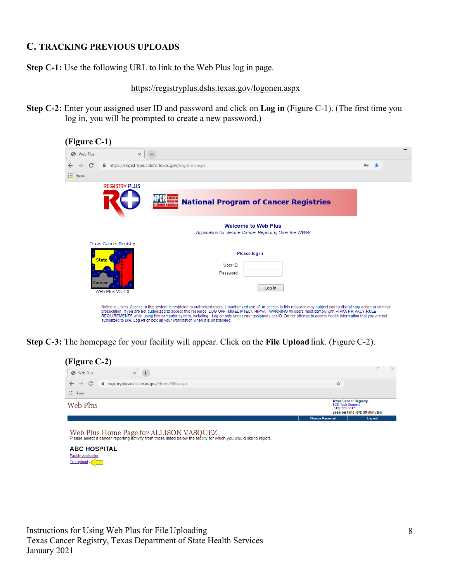## <span id="page-7-0"></span>**C. TRACKING PREVIOUS UPLOADS**

**Step C-1:** Use the following URL to link to the Web Plus log in page.

<https://registryplus.dshs.texas.gov/logonen.aspx>

**Step C-2:** Enter your assigned user ID and password and click on **Log in** (Figure C-1). (The first time you log in, you will be prompted to create a new password.)

| (Figure C-1)                                                              |                                                                                                                                                                                                                                                                                                                                                                                                                                                                                                                                                                                         |            |
|---------------------------------------------------------------------------|-----------------------------------------------------------------------------------------------------------------------------------------------------------------------------------------------------------------------------------------------------------------------------------------------------------------------------------------------------------------------------------------------------------------------------------------------------------------------------------------------------------------------------------------------------------------------------------------|------------|
| Web Plus                                                                  | $\times$<br>$\ddot{}$                                                                                                                                                                                                                                                                                                                                                                                                                                                                                                                                                                   |            |
| C<br><b>III</b> Apps                                                      | https://registryplus.dshs.texas.gov/logonen.aspx                                                                                                                                                                                                                                                                                                                                                                                                                                                                                                                                        | $O_T$<br>÷ |
| <b>REGISTRY PLUS</b>                                                      | <b>National Program of Cancer Registries</b>                                                                                                                                                                                                                                                                                                                                                                                                                                                                                                                                            |            |
|                                                                           | <b>Welcome to Web Plus</b><br>Application for Secure Cancer Reporting Over the WWW                                                                                                                                                                                                                                                                                                                                                                                                                                                                                                      |            |
| <b>Texas Cancer Registry</b><br><b>State</b><br>Cancer<br>Web Plus V3.7.0 | Please log in<br>User ID<br>Password<br>Log in                                                                                                                                                                                                                                                                                                                                                                                                                                                                                                                                          |            |
|                                                                           | Notice to Users: Access to this system is restricted to authorized users. Unauthorized use of, or access to this resource may subject you to disciplinary action or criminal<br>prosecution. If you are not authorized to access this resource, LOG OFF IMMEDIATELY, HIPAA - WARNING All users must comply with HIPAA PRIVACY RULE<br>REQUIREMENTS while using this computer system, including - Log on only under your assigned user ID. Do not attempt to access health information that you are not<br>authorized to use. Log off or lock up your workstation when it is unattended. |            |

**Step C-3:** The homepage for your facility will appear. Click on the **File Upload** link. (Figure C-2).

| (Figure C-2)<br>$+$<br><b>6</b> Web Plus<br>$\times$                         |                        |                                                                                                            |  |  |
|------------------------------------------------------------------------------|------------------------|------------------------------------------------------------------------------------------------------------|--|--|
| $\leftarrow$ $\rightarrow$ C<br>e registryplus.dshs.texas.gov/HomeAllEx.aspx | ☆                      |                                                                                                            |  |  |
| <b>III</b> Apps                                                              |                        |                                                                                                            |  |  |
| Web Plus                                                                     |                        | <b>Texas Cancer Registry</b><br><b>TCR Tech Support</b><br>(512) 776-3617<br>Session time left: 99 minutes |  |  |
|                                                                              | <b>Change Password</b> | Log out                                                                                                    |  |  |

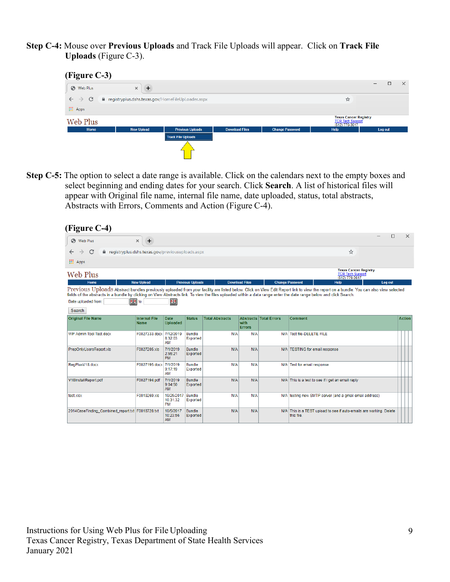**Step C-4:** Mouse over **Previous Uploads** and Track File Uploads will appear. Click on **Track File Uploads** (Figure C-3).



**Step C-5:** The option to select a date range is available. Click on the calendars next to the empty boxes and select beginning and ending dates for your search. Click **Search**. A list of historical files will appear with Original file name, internal file name, date uploaded, status, total abstracts, Abstracts with Errors, Comments and Action (Figure C-4).

| (Figure C-4)                                                                                                                                                                                         |                                     |                                     |                           |                        |                        |                                 |                                |                                                                           |         |        |               |
|------------------------------------------------------------------------------------------------------------------------------------------------------------------------------------------------------|-------------------------------------|-------------------------------------|---------------------------|------------------------|------------------------|---------------------------------|--------------------------------|---------------------------------------------------------------------------|---------|--------|---------------|
| Web Plus<br>G                                                                                                                                                                                        | $\ddot{}$<br>$\times$               |                                     |                           |                        |                        |                                 |                                |                                                                           |         | $\Box$ | $\times$      |
| C<br>e registryplus.dshs.texas.gov/previousuploads.aspx                                                                                                                                              |                                     |                                     |                           |                        |                        |                                 |                                | ☆                                                                         |         |        |               |
| <b>III</b> Apps                                                                                                                                                                                      |                                     |                                     |                           |                        |                        |                                 |                                |                                                                           |         |        |               |
| Web Plus                                                                                                                                                                                             |                                     |                                     |                           |                        |                        |                                 |                                | <b>Texas Cancer Registry</b><br><b>TCR Tech Support</b><br>(512) 776-3617 |         |        |               |
| Home                                                                                                                                                                                                 | <b>New Upload</b>                   |                                     | <b>Previous Uploads</b>   |                        | <b>Download Files</b>  |                                 | <b>Change Password</b>         | <b>Help</b>                                                               | Log out |        |               |
| fields of the abstracts in a bundle by clicking on View Abstracts link. To view the files uploaded within a data range enter the date range below and click Search.<br>Date uploaded from:<br>Search | E2 to:                              | 13                                  |                           |                        |                        |                                 |                                |                                                                           |         |        |               |
| <b>Original File Name</b>                                                                                                                                                                            | <b>Internal File</b><br><b>Name</b> | <b>Date</b><br><b>Uploaded</b>      | <b>Status</b>             | <b>Total Abstracts</b> | with.<br><b>Errors</b> | <b>Abstracts   Total Errors</b> | Comment                        |                                                                           |         |        | <b>Action</b> |
| WP Admin Tool Test docx                                                                                                                                                                              | F0027333.docx 7/12/2019             | 8:32:03<br>AM                       | <b>Bundle</b><br>Exported | N/A                    | N/A                    |                                 | N/A Test file-DELETE FILE      |                                                                           |         |        |               |
| PrepOnlyUsersReport.xls                                                                                                                                                                              | F0027205.xls                        | 7/1/2019<br>2:55:21<br><b>PM</b>    | <b>Bundle</b><br>Exported | N/A                    | N/A                    |                                 | N/A TESTING for email response |                                                                           |         |        |               |
| ReaPlusV18.docx                                                                                                                                                                                      | F0027195.docx 7/1/2019              | 9:17:19<br>AM                       | <b>Bundle</b><br>Exported | N/A                    | N/A                    |                                 | N/A Test for email response    |                                                                           |         |        |               |
| V18InstallReport.pdf                                                                                                                                                                                 | F0027194.pdf                        | 7/1/2019<br>9:04:50<br>AM.          | <b>Bundle</b><br>Exported | N/A                    | N/A                    |                                 |                                | N/A This is a test to see if I get an email reply                         |         |        |               |
| test.xlsx                                                                                                                                                                                            | F0019269.xls                        | 10/25/2017<br>10:31:32<br><b>PM</b> | <b>Bundle</b><br>Exported | N/A                    | N/A                    |                                 |                                | N/A testing new SMTP server (and a gmail email address)                   |         |        |               |
| 2014CaseFinding_Combined_report.txt   F0018728.txt                                                                                                                                                   |                                     | 10/5/2017<br>10:23:56<br><b>AM</b>  | <b>Bundle</b><br>Exported | N/A                    | N/A                    |                                 | this file.                     | N/A This is a TEST upload to see if auto-emails are working. Delete       |         |        |               |

Instructions for Using Web Plus for File Uploading Texas Cancer Registry, Texas Department of State Health Services January 2021